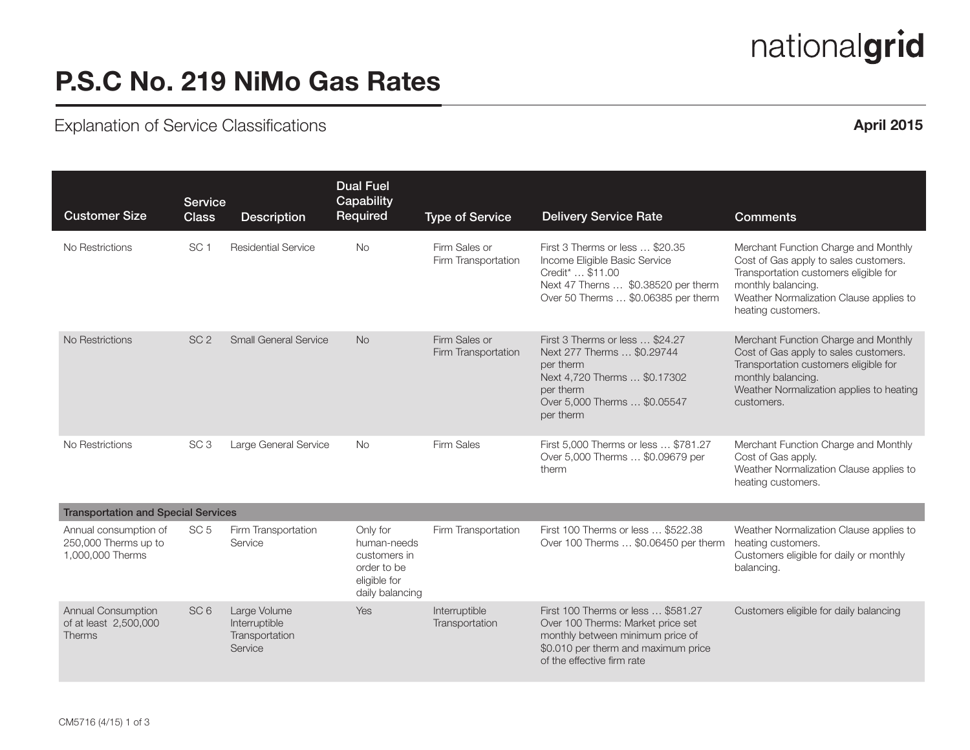# nationalgrid

## P.S.C No. 219 NiMo Gas Rates

## Explanation of Service Classifications **April 2015 April 2015**

| <b>Customer Size</b>                                              | <b>Service</b><br><b>Class</b> | <b>Description</b>                                         | <b>Dual Fuel</b><br>Capability<br>Required                                                | <b>Type of Service</b>               | <b>Delivery Service Rate</b>                                                                                                                                                     | <b>Comments</b>                                                                                                                                                                                               |
|-------------------------------------------------------------------|--------------------------------|------------------------------------------------------------|-------------------------------------------------------------------------------------------|--------------------------------------|----------------------------------------------------------------------------------------------------------------------------------------------------------------------------------|---------------------------------------------------------------------------------------------------------------------------------------------------------------------------------------------------------------|
| No Restrictions                                                   | SC <sub>1</sub>                | <b>Residential Service</b>                                 | <b>No</b>                                                                                 | Firm Sales or<br>Firm Transportation | First 3 Therms or less  \$20.35<br>Income Eligible Basic Service<br>Credit <sup>*</sup> \$11.00<br>Next 47 Therns  \$0.38520 per therm<br>Over 50 Therms  \$0.06385 per therm    | Merchant Function Charge and Monthly<br>Cost of Gas apply to sales customers.<br>Transportation customers eligible for<br>monthly balancing.<br>Weather Normalization Clause applies to<br>heating customers. |
| No Restrictions                                                   | SC <sub>2</sub>                | <b>Small General Service</b>                               | <b>No</b>                                                                                 | Firm Sales or<br>Firm Transportation | First 3 Therms or less  \$24.27<br>Next 277 Therms  \$0.29744<br>per therm<br>Next 4,720 Therms  \$0.17302<br>per therm<br>Over 5,000 Therms  \$0.05547<br>per therm             | Merchant Function Charge and Monthly<br>Cost of Gas apply to sales customers.<br>Transportation customers eligible for<br>monthly balancing.<br>Weather Normalization applies to heating<br>customers.        |
| No Restrictions                                                   | SC <sub>3</sub>                | Large General Service                                      | <b>No</b>                                                                                 | Firm Sales                           | First 5,000 Therms or less  \$781.27<br>Over 5,000 Therms  \$0.09679 per<br>therm                                                                                                | Merchant Function Charge and Monthly<br>Cost of Gas apply.<br>Weather Normalization Clause applies to<br>heating customers.                                                                                   |
| <b>Transportation and Special Services</b>                        |                                |                                                            |                                                                                           |                                      |                                                                                                                                                                                  |                                                                                                                                                                                                               |
| Annual consumption of<br>250,000 Therms up to<br>1,000,000 Therms | SC <sub>5</sub>                | Firm Transportation<br>Service                             | Only for<br>human-needs<br>customers in<br>order to be<br>eligible for<br>daily balancing | Firm Transportation                  | First 100 Therms or less  \$522.38<br>Over 100 Therms  \$0.06450 per therm                                                                                                       | Weather Normalization Clause applies to<br>heating customers.<br>Customers eligible for daily or monthly<br>balancing.                                                                                        |
| Annual Consumption<br>of at least 2,500,000<br>Therms             | SC <sub>6</sub>                | Large Volume<br>Interruptible<br>Transportation<br>Service | Yes                                                                                       | Interruptible<br>Transportation      | First 100 Therms or less  \$581.27<br>Over 100 Therms: Market price set<br>monthly between minimum price of<br>\$0.010 per therm and maximum price<br>of the effective firm rate | Customers eligible for daily balancing                                                                                                                                                                        |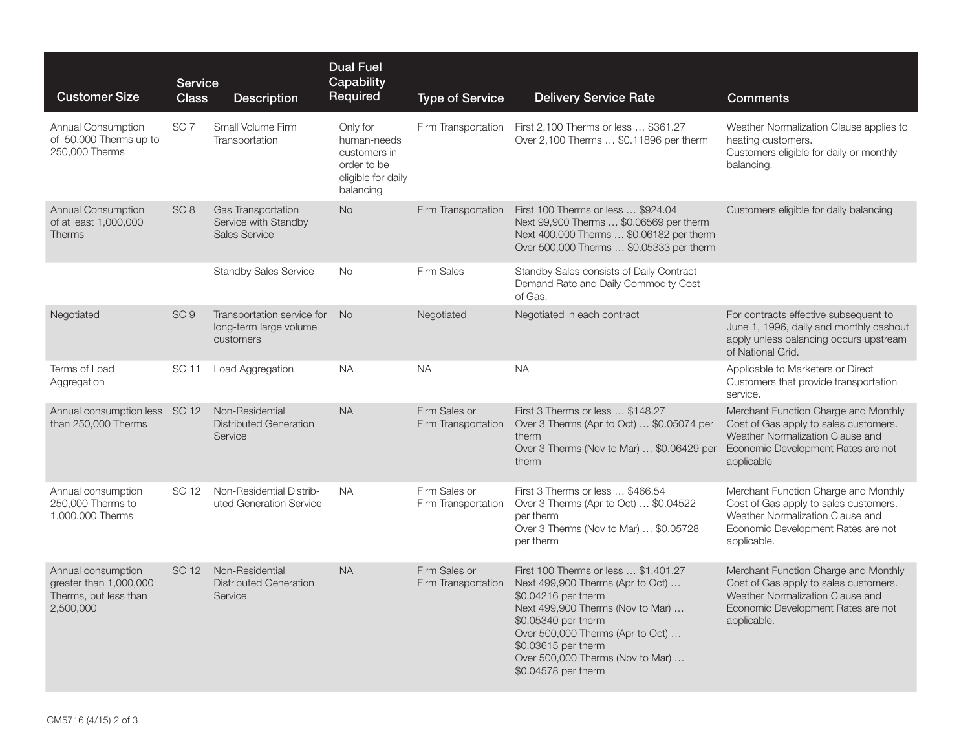| <b>Customer Size</b>                                                               | <b>Service</b><br><b>Class</b> | <b>Description</b>                                                   | <b>Dual Fuel</b><br>Capability<br>Required                                                | <b>Type of Service</b>               | <b>Delivery Service Rate</b>                                                                                                                                                                                                                                                     | <b>Comments</b>                                                                                                                                                        |
|------------------------------------------------------------------------------------|--------------------------------|----------------------------------------------------------------------|-------------------------------------------------------------------------------------------|--------------------------------------|----------------------------------------------------------------------------------------------------------------------------------------------------------------------------------------------------------------------------------------------------------------------------------|------------------------------------------------------------------------------------------------------------------------------------------------------------------------|
| Annual Consumption<br>of 50,000 Therms up to<br>250,000 Therms                     | SC <sub>7</sub>                | Small Volume Firm<br>Transportation                                  | Only for<br>human-needs<br>customers in<br>order to be<br>eligible for daily<br>balancing | Firm Transportation                  | First 2,100 Therms or less  \$361.27<br>Over 2,100 Therms  \$0.11896 per therm                                                                                                                                                                                                   | Weather Normalization Clause applies to<br>heating customers.<br>Customers eligible for daily or monthly<br>balancing.                                                 |
| <b>Annual Consumption</b><br>of at least 1,000,000<br><b>Therms</b>                | SC <sub>8</sub>                | Gas Transportation<br>Service with Standby<br><b>Sales Service</b>   | <b>No</b>                                                                                 | Firm Transportation                  | First 100 Therms or less  \$924.04<br>Next 99,900 Therms  \$0.06569 per therm<br>Next 400,000 Therms  \$0.06182 per therm<br>Over 500,000 Therms  \$0.05333 per therm                                                                                                            | Customers eligible for daily balancing                                                                                                                                 |
|                                                                                    |                                | <b>Standby Sales Service</b>                                         | <b>No</b>                                                                                 | <b>Firm Sales</b>                    | Standby Sales consists of Daily Contract<br>Demand Rate and Daily Commodity Cost<br>of Gas.                                                                                                                                                                                      |                                                                                                                                                                        |
| Negotiated                                                                         | SC <sub>9</sub>                | Transportation service for No<br>long-term large volume<br>customers |                                                                                           | Negotiated                           | Negotiated in each contract                                                                                                                                                                                                                                                      | For contracts effective subsequent to<br>June 1, 1996, daily and monthly cashout<br>apply unless balancing occurs upstream<br>of National Grid.                        |
| Terms of Load<br>Aggregation                                                       | SC 11                          | Load Aggregation                                                     | NA.                                                                                       | <b>NA</b>                            | <b>NA</b>                                                                                                                                                                                                                                                                        | Applicable to Marketers or Direct<br>Customers that provide transportation<br>service.                                                                                 |
| Annual consumption less SC 12<br>than 250,000 Therms                               |                                | Non-Residential<br><b>Distributed Generation</b><br>Service          | <b>NA</b>                                                                                 | Firm Sales or<br>Firm Transportation | First 3 Therms or less  \$148.27<br>Over 3 Therms (Apr to Oct)  \$0.05074 per<br>therm<br>Over 3 Therms (Nov to Mar)  \$0.06429 per<br>therm                                                                                                                                     | Merchant Function Charge and Monthly<br>Cost of Gas apply to sales customers.<br>Weather Normalization Clause and<br>Economic Development Rates are not<br>applicable  |
| Annual consumption<br>250,000 Therms to<br>1,000,000 Therms                        | SC 12                          | Non-Residential Distrib-<br>uted Generation Service                  | NA.                                                                                       | Firm Sales or<br>Firm Transportation | First 3 Therms or less  \$466.54<br>Over 3 Therms (Apr to Oct)  \$0.04522<br>per therm<br>Over 3 Therms (Nov to Mar)  \$0.05728<br>per therm                                                                                                                                     | Merchant Function Charge and Monthly<br>Cost of Gas apply to sales customers.<br>Weather Normalization Clause and<br>Economic Development Rates are not<br>applicable. |
| Annual consumption<br>qreater than 1,000,000<br>Therms, but less than<br>2,500,000 | SC 12                          | Non-Residential<br><b>Distributed Generation</b><br>Service          | <b>NA</b>                                                                                 | Firm Sales or<br>Firm Transportation | First 100 Therms or less  \$1,401.27<br>Next 499,900 Therms (Apr to Oct)<br>\$0.04216 per therm<br>Next 499,900 Therms (Nov to Mar)<br>\$0.05340 per therm<br>Over 500,000 Therms (Apr to Oct)<br>\$0.03615 per therm<br>Over 500,000 Therms (Nov to Mar)<br>\$0.04578 per therm | Merchant Function Charge and Monthly<br>Cost of Gas apply to sales customers.<br>Weather Normalization Clause and<br>Economic Development Rates are not<br>applicable. |